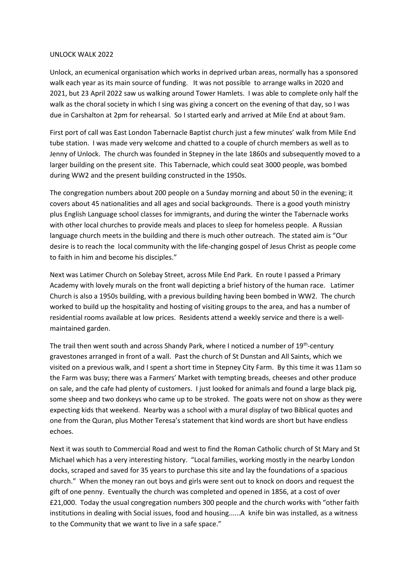## UNLOCK WALK 2022

Unlock, an ecumenical organisation which works in deprived urban areas, normally has a sponsored walk each year as its main source of funding. It was not possible to arrange walks in 2020 and 2021, but 23 April 2022 saw us walking around Tower Hamlets. I was able to complete only half the walk as the choral society in which I sing was giving a concert on the evening of that day, so I was due in Carshalton at 2pm for rehearsal. So I started early and arrived at Mile End at about 9am.

First port of call was East London Tabernacle Baptist church just a few minutes' walk from Mile End tube station. I was made very welcome and chatted to a couple of church members as well as to Jenny of Unlock. The church was founded in Stepney in the late 1860s and subsequently moved to a larger building on the present site. This Tabernacle, which could seat 3000 people, was bombed during WW2 and the present building constructed in the 1950s.

The congregation numbers about 200 people on a Sunday morning and about 50 in the evening; it covers about 45 nationalities and all ages and social backgrounds. There is a good youth ministry plus English Language school classes for immigrants, and during the winter the Tabernacle works with other local churches to provide meals and places to sleep for homeless people. A Russian language church meets in the building and there is much other outreach. The stated aim is "Our desire is to reach the local community with the life-changing gospel of Jesus Christ as people come to faith in him and become his disciples."

Next was Latimer Church on Solebay Street, across Mile End Park. En route I passed a Primary Academy with lovely murals on the front wall depicting a brief history of the human race. Latimer Church is also a 1950s building, with a previous building having been bombed in WW2. The church worked to build up the hospitality and hosting of visiting groups to the area, and has a number of residential rooms available at low prices. Residents attend a weekly service and there is a wellmaintained garden.

The trail then went south and across Shandy Park, where I noticed a number of 19<sup>th</sup>-century gravestones arranged in front of a wall. Past the church of St Dunstan and All Saints, which we visited on a previous walk, and I spent a short time in Stepney City Farm. By this time it was 11am so the Farm was busy; there was a Farmers' Market with tempting breads, cheeses and other produce on sale, and the cafe had plenty of customers. I just looked for animals and found a large black pig, some sheep and two donkeys who came up to be stroked. The goats were not on show as they were expecting kids that weekend. Nearby was a school with a mural display of two Biblical quotes and one from the Quran, plus Mother Teresa's statement that kind words are short but have endless echoes.

Next it was south to Commercial Road and west to find the Roman Catholic church of St Mary and St Michael which has a very interesting history. "Local families, working mostly in the nearby London docks, scraped and saved for 35 years to purchase this site and lay the foundations of a spacious church." When the money ran out boys and girls were sent out to knock on doors and request the gift of one penny. Eventually the church was completed and opened in 1856, at a cost of over £21,000. Today the usual congregation numbers 300 people and the church works with "other faith institutions in dealing with Social issues, food and housing......A knife bin was installed, as a witness to the Community that we want to live in a safe space."